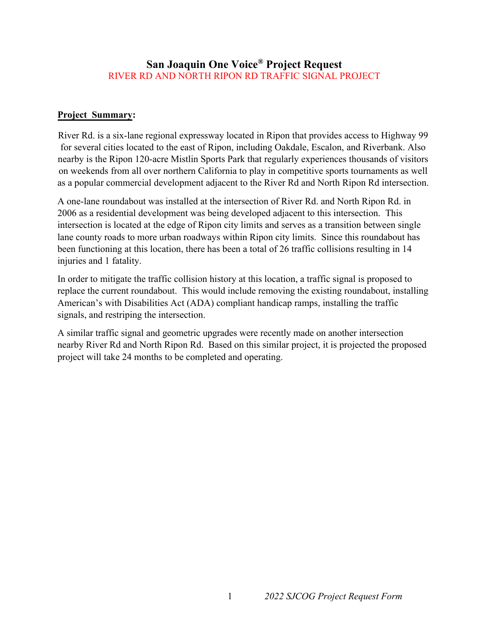### **San Joaquin One Voice® Project Request**  RIVER RD AND NORTH RIPON RD TRAFFIC SIGNAL PROJECT

### **Project Summary:**

River Rd. is a six-lane regional expressway located in Ripon that provides access to Highway 99 for several cities located to the east of Ripon, including Oakdale, Escalon, and Riverbank. Also nearby is the Ripon 120-acre Mistlin Sports Park that regularly experiences thousands of visitors on weekends from all over northern California to play in competitive sports tournaments as well as a popular commercial development adjacent to the River Rd and North Ripon Rd intersection.

A one-lane roundabout was installed at the intersection of River Rd. and North Ripon Rd. in 2006 as a residential development was being developed adjacent to this intersection. This intersection is located at the edge of Ripon city limits and serves as a transition between single lane county roads to more urban roadways within Ripon city limits. Since this roundabout has been functioning at this location, there has been a total of 26 traffic collisions resulting in 14 injuries and 1 fatality.

In order to mitigate the traffic collision history at this location, a traffic signal is proposed to replace the current roundabout. This would include removing the existing roundabout, installing American's with Disabilities Act (ADA) compliant handicap ramps, installing the traffic signals, and restriping the intersection.

A similar traffic signal and geometric upgrades were recently made on another intersection nearby River Rd and North Ripon Rd. Based on this similar project, it is projected the proposed project will take 24 months to be completed and operating.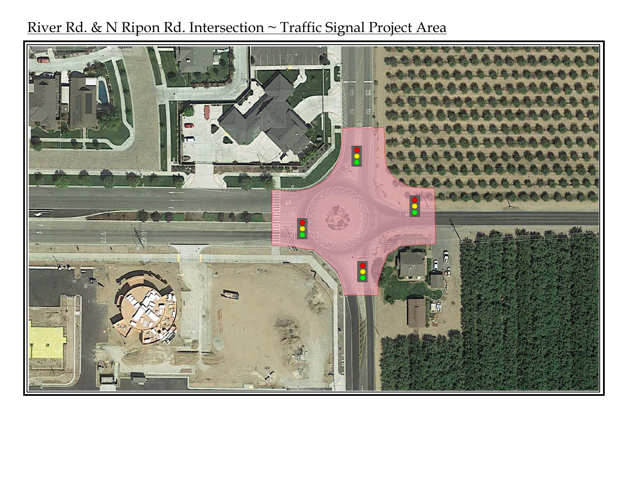# River Rd. & N Ripon Rd. Intersection ~ Traffic Signal Project Area

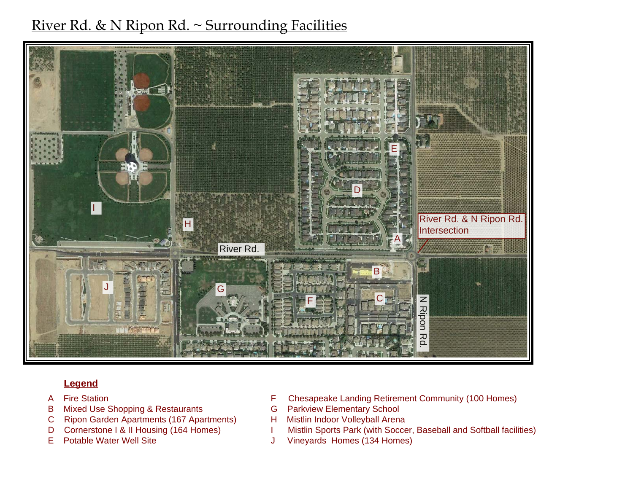

## **Legend**

- A Fire Station
- B Mixed Use Shopping & Restaurants
- C Ripon Garden Apartments (167 Apartments)
- D Cornerstone I & II Housing (164 Homes)
- E Potable Water Well Site
- F Chesapeake Landing Retirement Community (100 Homes)<br>
G Parkview Elementary School<br>
H Mistlin Indoor Volleyball Arena<br>
I Mistlin Sports Park (with Soccer, Baseball and Softball facilities)
- 
- 
- 
- J Vineyards Homes (134 Homes)